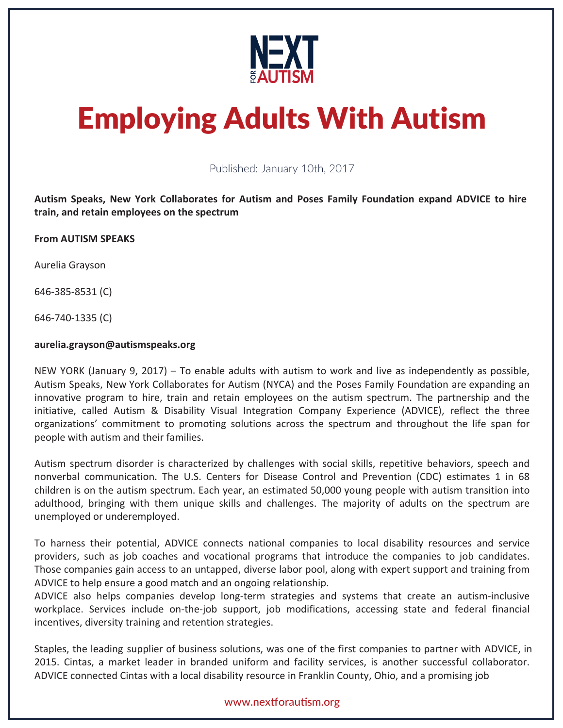

# Employing Adults With Autism

Published: January 10th, 2017

**Autism Speaks, New York Collaborates for Autism and Poses Family Foundation expand ADVICE to hire, train, and retain employees on the spectrum**

**From AUTISM SPEAKS** 

Aurelia Grayson

646-385-8531 (C)

646-740-1335 (C) ©

#### **aurelia.grayson@autismspeaks.org**

NEW YORK (January 9, 2017) – To enable adults with autism to work and live as independently as possible, Autism Speaks, New York Collaborates for Autism (NYCA) and the Poses Family Foundation are expanding an innovative program to hire, train and retain employees on the autism spectrum. The partnership and the initiative, called Autism & Disability Visual Integration Company Experience (ADVICE), reflect the three organizations' commitment to promoting solutions across the spectrum and throughout the life span for people with autism and their families.

Autism spectrum disorder is characterized by challenges with social skills, repetitive behaviors, speech and nonverbal communication. The U.S. Centers for Disease Control and Prevention (CDC) estimates 1 in 68 children is on the autism spectrum. Each year, an estimated 50,000 young people with autism transition into adulthood, bringing with them unique skills and challenges. The majority of adults on the spectrum are unemployed or underemployed.

To harness their potential, ADVICE connects national companies to local disability resources and service providers, such as job coaches and vocational programs that introduce the companies to job candidates. Those companies gain access to an untapped, diverse labor pool, along with expert support and training from ADVICE to help ensure a good match and an ongoing relationship.

ADVICE also helps companies develop long-term strategies and systems that create an autism-inclusive workplace. Services include on-the-job support, job modifications, accessing state and federal financial incentives, diversity training and retention strategies.

Staples, the leading supplier of business solutions, was one of the first companies to partner with ADVICE, in 2015. Cintas, a market leader in branded uniform and facility services, is another successful collaborator. ADVICE connected Cintas with a local disability resource in Franklin County, Ohio, and a promising job

# www.nextforautism.org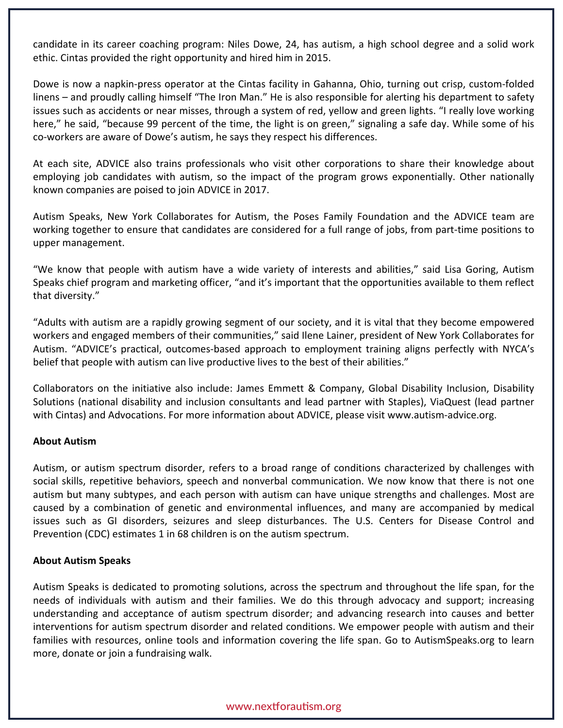candidate in its career coaching program: Niles Dowe, 24, has autism, a high school degree and a solid work ethic. Cintas provided the right opportunity and hired him in 2015.

Dowe is now a napkin-press operator at the Cintas facility in Gahanna, Ohio, turning out crisp, custom-folded linens – and proudly calling himself "The Iron Man." He is also responsible for alerting his department to safety issues such as accidents or near misses, through a system of red, yellow and green lights. "I really love working here," he said, "because 99 percent of the time, the light is on green," signaling a safe day. While some of his co-workers are aware of Dowe's autism, he says they respect his differences.

At each site, ADVICE also trains professionals who visit other corporations to share their knowledge about employing job candidates with autism, so the impact of the program grows exponentially. Other nationally known companies are poised to join ADVICE in 2017.

Autism Speaks, New York Collaborates for Autism, the Poses Family Foundation and the ADVICE team are working together to ensure that candidates are considered for a full range of jobs, from part-time positions to upper management.

"We know that people with autism have a wide variety of interests and abilities," said Lisa Goring, Autism Speaks chief program and marketing officer, "and it's important that the opportunities available to them reflect that diversity."

"Adults with autism are a rapidly growing segment of our society, and it is vital that they become empowered workers and engaged members of their communities," said Ilene Lainer, president of New York Collaborates for Autism. "ADVICE's practical, outcomes-based approach to employment training aligns perfectly with NYCA's belief that people with autism can live productive lives to the best of their abilities."

Collaborators on the initiative also include: James Emmett & Company, Global Disability Inclusion, Disability Solutions (national disability and inclusion consultants and lead partner with Staples), ViaQuest (lead partner with Cintas) and Advocations. For more information about ADVICE, please visit www.autism-advice.org.

# **About Autism**

Autism, or autism spectrum disorder, refers to a broad range of conditions characterized by challenges with social skills, repetitive behaviors, speech and nonverbal communication. We now know that there is not one autism but many subtypes, and each person with autism can have unique strengths and challenges. Most are caused by a combination of genetic and environmental influences, and many are accompanied by medical issues such as GI disorders, seizures and sleep disturbances. The U.S. Centers for Disease Control and Prevention (CDC) estimates 1 in 68 children is on the autism spectrum.

# **About Autism Speaks**

Autism Speaks is dedicated to promoting solutions, across the spectrum and throughout the life span, for the needs of individuals with autism and their families. We do this through advocacy and support; increasing understanding and acceptance of autism spectrum disorder; and advancing research into causes and better interventions for autism spectrum disorder and related conditions. We empower people with autism and their families with resources, online tools and information covering the life span. Go to AutismSpeaks.org to learn more, donate or join a fundraising walk.